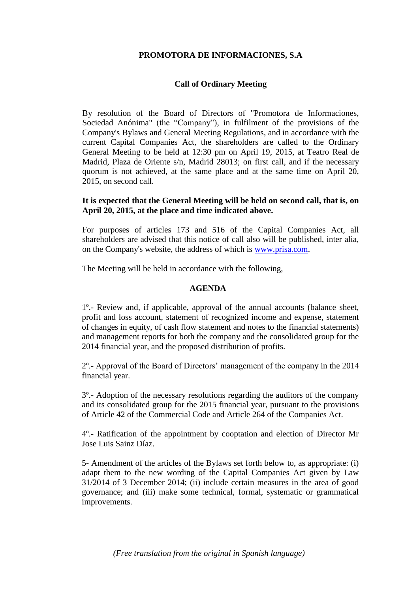## **PROMOTORA DE INFORMACIONES, S.A**

# **Call of Ordinary Meeting**

By resolution of the Board of Directors of "Promotora de Informaciones, Sociedad Anónima" (the "Company"), in fulfilment of the provisions of the Company's Bylaws and General Meeting Regulations, and in accordance with the current Capital Companies Act, the shareholders are called to the Ordinary General Meeting to be held at 12:30 pm on April 19, 2015, at Teatro Real de Madrid, Plaza de Oriente s/n, Madrid 28013; on first call, and if the necessary quorum is not achieved, at the same place and at the same time on April 20, 2015, on second call.

## **It is expected that the General Meeting will be held on second call, that is, on April 20, 2015, at the place and time indicated above.**

For purposes of articles 173 and 516 of the Capital Companies Act, all shareholders are advised that this notice of call also will be published, inter alia, on the Company's website, the address of which is [www.prisa.com.](http://www.prisa.com/)

The Meeting will be held in accordance with the following,

#### **AGENDA**

1º.- Review and, if applicable, approval of the annual accounts (balance sheet, profit and loss account, statement of recognized income and expense, statement of changes in equity, of cash flow statement and notes to the financial statements) and management reports for both the company and the consolidated group for the 2014 financial year, and the proposed distribution of profits.

2º.- Approval of the Board of Directors' management of the company in the 2014 financial year.

3º.- Adoption of the necessary resolutions regarding the auditors of the company and its consolidated group for the 2015 financial year, pursuant to the provisions of Article 42 of the Commercial Code and Article 264 of the Companies Act.

4º.- Ratification of the appointment by cooptation and election of Director Mr Jose Luis Sainz Díaz.

5- Amendment of the articles of the Bylaws set forth below to, as appropriate: (i) adapt them to the new wording of the Capital Companies Act given by Law 31/2014 of 3 December 2014; (ii) include certain measures in the area of good governance; and (iii) make some technical, formal, systematic or grammatical improvements.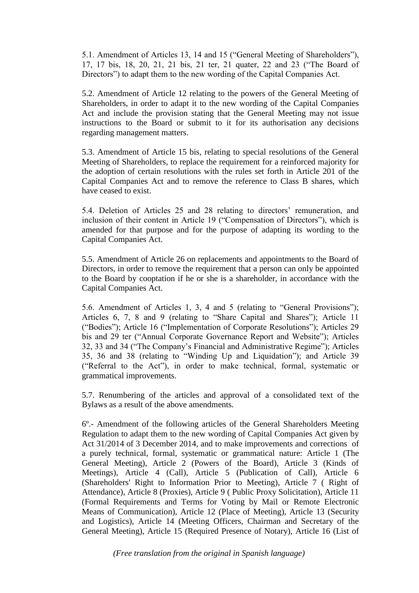5.1. Amendment of Articles 13, 14 and 15 ("General Meeting of Shareholders"), 17, 17 bis, 18, 20, 21, 21 bis, 21 ter, 21 quater, 22 and 23 ("The Board of Directors") to adapt them to the new wording of the Capital Companies Act.

5.2. Amendment of Article 12 relating to the powers of the General Meeting of Shareholders, in order to adapt it to the new wording of the Capital Companies Act and include the provision stating that the General Meeting may not issue instructions to the Board or submit to it for its authorisation any decisions regarding management matters.

5.3. Amendment of Article 15 bis, relating to special resolutions of the General Meeting of Shareholders, to replace the requirement for a reinforced majority for the adoption of certain resolutions with the rules set forth in Article 201 of the Capital Companies Act and to remove the reference to Class B shares, which have ceased to exist.

5.4. Deletion of Articles 25 and 28 relating to directors' remuneration, and inclusion of their content in Article 19 ("Compensation of Directors"), which is amended for that purpose and for the purpose of adapting its wording to the Capital Companies Act.

5.5. Amendment of Article 26 on replacements and appointments to the Board of Directors, in order to remove the requirement that a person can only be appointed to the Board by cooptation if he or she is a shareholder, in accordance with the Capital Companies Act.

5.6. Amendment of Articles 1, 3, 4 and 5 (relating to "General Provisions"); Articles 6, 7, 8 and 9 (relating to "Share Capital and Shares"); Article 11 ("Bodies"); Article 16 ("Implementation of Corporate Resolutions"); Articles 29 bis and 29 ter ("Annual Corporate Governance Report and Website"); Articles 32, 33 and 34 ("The Company's Financial and Administrative Regime"); Articles 35, 36 and 38 (relating to "Winding Up and Liquidation"); and Article 39 ("Referral to the Act"), in order to make technical, formal, systematic or grammatical improvements.

5.7. Renumbering of the articles and approval of a consolidated text of the Bylaws as a result of the above amendments.

6º.- Amendment of the following articles of the General Shareholders Meeting Regulation to adapt them to the new wording of Capital Companies Act given by Act 31/2014 of 3 December 2014, and to make improvements and corrections of a purely technical, formal, systematic or grammatical nature: Article 1 (The General Meeting), Article 2 (Powers of the Board), Article 3 (Kinds of Meetings), Article 4 (Call), Article 5 (Publication of Call), Article 6 (Shareholders' Right to Information Prior to Meeting), Article 7 ( Right of Attendance), Article 8 (Proxies), Article 9 ( Public Proxy Solicitation), Article 11 (Formal Requirements and Terms for Voting by Mail or Remote Electronic Means of Communication), Article 12 (Place of Meeting), Article 13 (Security and Logistics), Article 14 (Meeting Officers, Chairman and Secretary of the General Meeting), Article 15 (Required Presence of Notary), Article 16 (List of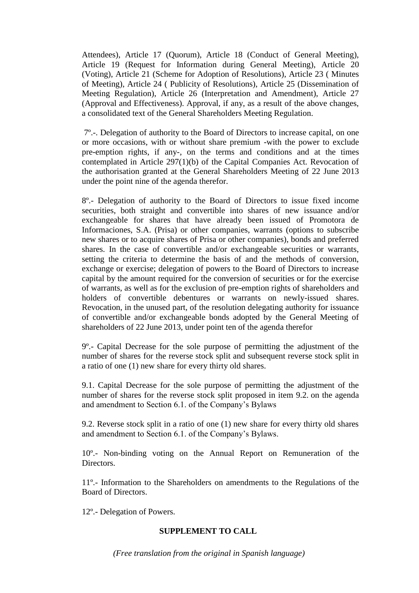Attendees), Article 17 (Quorum), Article 18 (Conduct of General Meeting), Article 19 (Request for Information during General Meeting), Article 20 (Voting), Article 21 (Scheme for Adoption of Resolutions), Article 23 ( Minutes of Meeting), Article 24 ( Publicity of Resolutions), Article 25 (Dissemination of Meeting Regulation), Article 26 (Interpretation and Amendment), Article 27 (Approval and Effectiveness). Approval, if any, as a result of the above changes, a consolidated text of the General Shareholders Meeting Regulation.

7º.-. Delegation of authority to the Board of Directors to increase capital, on one or more occasions, with or without share premium -with the power to exclude pre-emption rights, if any-, on the terms and conditions and at the times contemplated in Article 297(1)(b) of the Capital Companies Act. Revocation of the authorisation granted at the General Shareholders Meeting of 22 June 2013 under the point nine of the agenda therefor.

8º.- Delegation of authority to the Board of Directors to issue fixed income securities, both straight and convertible into shares of new issuance and/or exchangeable for shares that have already been issued of Promotora de Informaciones, S.A. (Prisa) or other companies, warrants (options to subscribe new shares or to acquire shares of Prisa or other companies), bonds and preferred shares. In the case of convertible and/or exchangeable securities or warrants, setting the criteria to determine the basis of and the methods of conversion, exchange or exercise; delegation of powers to the Board of Directors to increase capital by the amount required for the conversion of securities or for the exercise of warrants, as well as for the exclusion of pre-emption rights of shareholders and holders of convertible debentures or warrants on newly-issued shares. Revocation, in the unused part, of the resolution delegating authority for issuance of convertible and/or exchangeable bonds adopted by the General Meeting of shareholders of 22 June 2013, under point ten of the agenda therefor

9º.- Capital Decrease for the sole purpose of permitting the adjustment of the number of shares for the reverse stock split and subsequent reverse stock split in a ratio of one (1) new share for every thirty old shares.

9.1. Capital Decrease for the sole purpose of permitting the adjustment of the number of shares for the reverse stock split proposed in item 9.2. on the agenda and amendment to Section 6.1. of the Company's Bylaws

9.2. Reverse stock split in a ratio of one (1) new share for every thirty old shares and amendment to Section 6.1. of the Company's Bylaws.

10º.- Non-binding voting on the Annual Report on [Remuneration of the](http://www.prisa.com/uploads/ficheros/arboles/descargas/201403/descargas-remuneration-policy-report-en.pdf)  [Directors.](http://www.prisa.com/uploads/ficheros/arboles/descargas/201403/descargas-remuneration-policy-report-en.pdf)

11º.- Information to the Shareholders on amendments to the Regulations of the Board of Directors.

12º.- Delegation of Powers.

### **SUPPLEMENT TO CALL**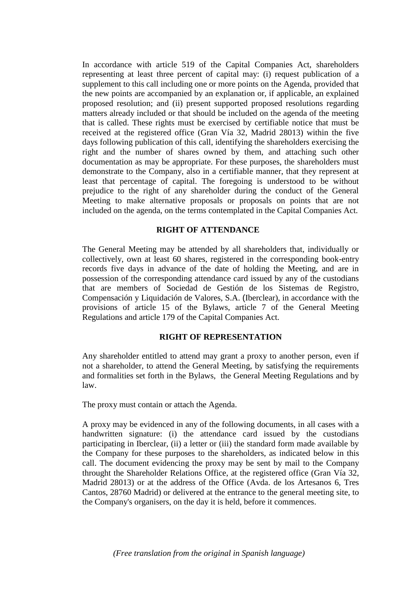In accordance with article 519 of the Capital Companies Act, shareholders representing at least three percent of capital may: (i) request publication of a supplement to this call including one or more points on the Agenda, provided that the new points are accompanied by an explanation or, if applicable, an explained proposed resolution; and (ii) present supported proposed resolutions regarding matters already included or that should be included on the agenda of the meeting that is called. These rights must be exercised by certifiable notice that must be received at the registered office (Gran Vía 32, Madrid 28013) within the five days following publication of this call, identifying the shareholders exercising the right and the number of shares owned by them, and attaching such other documentation as may be appropriate. For these purposes, the shareholders must demonstrate to the Company, also in a certifiable manner, that they represent at least that percentage of capital. The foregoing is understood to be without prejudice to the right of any shareholder during the conduct of the General Meeting to make alternative proposals or proposals on points that are not included on the agenda, on the terms contemplated in the Capital Companies Act.

## **RIGHT OF ATTENDANCE**

The General Meeting may be attended by all shareholders that, individually or collectively, own at least 60 shares, registered in the corresponding book-entry records five days in advance of the date of holding the Meeting, and are in possession of the corresponding attendance card issued by any of the custodians that are members of Sociedad de Gestión de los Sistemas de Registro, Compensación y Liquidación de Valores, S.A. (Iberclear), in accordance with the provisions of article 15 of the Bylaws, article 7 of the General Meeting Regulations and article 179 of the Capital Companies Act.

### **RIGHT OF REPRESENTATION**

Any shareholder entitled to attend may grant a proxy to another person, even if not a shareholder, to attend the General Meeting, by satisfying the requirements and formalities set forth in the Bylaws, the General Meeting Regulations and by law.

The proxy must contain or attach the Agenda.

A proxy may be evidenced in any of the following documents, in all cases with a handwritten signature: (i) the attendance card issued by the custodians participating in Iberclear, (ii) a letter or (iii) the standard form made available by the Company for these purposes to the shareholders, as indicated below in this call. The document evidencing the proxy may be sent by mail to the Company throught the Shareholder Relations Office, at the registered office (Gran Vía 32, Madrid 28013) or at the address of the Office (Avda. de los Artesanos 6, Tres Cantos, 28760 Madrid) or delivered at the entrance to the general meeting site, to the Company's organisers, on the day it is held, before it commences.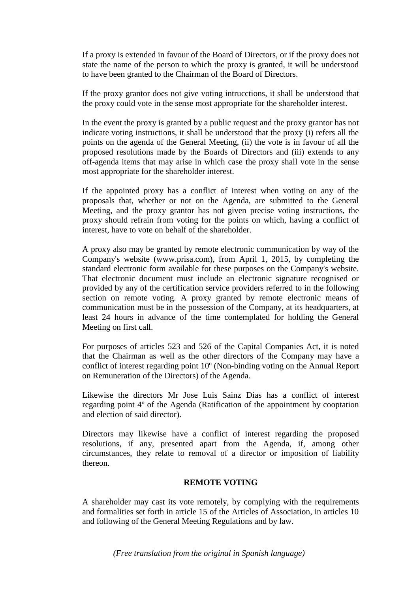If a proxy is extended in favour of the Board of Directors, or if the proxy does not state the name of the person to which the proxy is granted, it will be understood to have been granted to the Chairman of the Board of Directors.

If the proxy grantor does not give voting intrucctions, it shall be understood that the proxy could vote in the sense most appropriate for the shareholder interest.

In the event the proxy is granted by a public request and the proxy grantor has not indicate voting instructions, it shall be understood that the proxy (i) refers all the points on the agenda of the General Meeting, (ii) the vote is in favour of all the proposed resolutions made by the Boards of Directors and (iii) extends to any off-agenda items that may arise in which case the proxy shall vote in the sense most appropriate for the shareholder interest.

If the appointed proxy has a conflict of interest when voting on any of the proposals that, whether or not on the Agenda, are submitted to the General Meeting, and the proxy grantor has not given precise voting instructions, the proxy should refrain from voting for the points on which, having a conflict of interest, have to vote on behalf of the shareholder.

A proxy also may be granted by remote electronic communication by way of the Company's website (www.prisa.com), from April 1, 2015, by completing the standard electronic form available for these purposes on the Company's website. That electronic document must include an electronic signature recognised or provided by any of the certification service providers referred to in the following section on remote voting. A proxy granted by remote electronic means of communication must be in the possession of the Company, at its headquarters, at least 24 hours in advance of the time contemplated for holding the General Meeting on first call.

For purposes of articles 523 and 526 of the Capital Companies Act, it is noted that the Chairman as well as the other directors of the Company may have a conflict of interest regarding point 10º (Non-binding voting on the Annual Report on Remuneration of the Directors) of the Agenda.

Likewise the directors Mr Jose Luis Sainz Días has a conflict of interest regarding point 4º of the Agenda (Ratification of the appointment by cooptation and election of said director).

Directors may likewise have a conflict of interest regarding the proposed resolutions, if any, presented apart from the Agenda, if, among other circumstances, they relate to removal of a director or imposition of liability thereon.

#### **REMOTE VOTING**

A shareholder may cast its vote remotely, by complying with the requirements and formalities set forth in article 15 of the Articles of Association, in articles 10 and following of the General Meeting Regulations and by law.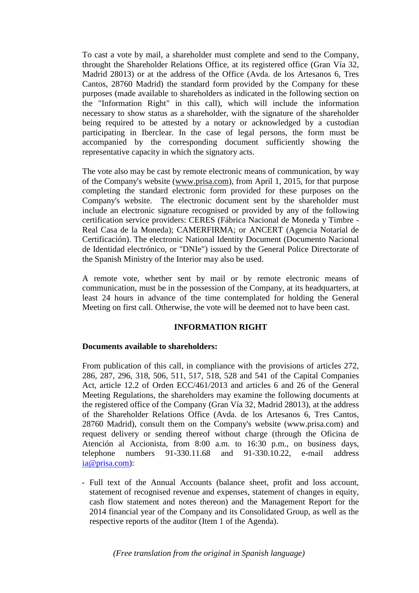To cast a vote by mail, a shareholder must complete and send to the Company, throught the Shareholder Relations Office, at its registered office (Gran Vía 32, Madrid 28013) or at the address of the Office (Avda. de los Artesanos 6, Tres Cantos, 28760 Madrid) the standard form provided by the Company for these purposes (made available to shareholders as indicated in the following section on the "Information Right" in this call), which will include the information necessary to show status as a shareholder, with the signature of the shareholder being required to be attested by a notary or acknowledged by a custodian participating in Iberclear. In the case of legal persons, the form must be accompanied by the corresponding document sufficiently showing the representative capacity in which the signatory acts.

The vote also may be cast by remote electronic means of communication, by way of the Company's website [\(www.prisa.com\)](http://www.prisa.com/), from April 1, 2015, for that purpose completing the standard electronic form provided for these purposes on the Company's website. The electronic document sent by the shareholder must include an electronic signature recognised or provided by any of the following certification service providers: CERES (Fábrica Nacional de Moneda y Timbre - Real Casa de la Moneda); CAMERFIRMA; or ANCERT (Agencia Notarial de Certificación). The electronic National Identity Document (Documento Nacional de Identidad electrónico, or "DNIe") issued by the General Police Directorate of the Spanish Ministry of the Interior may also be used.

A remote vote, whether sent by mail or by remote electronic means of communication, must be in the possession of the Company, at its headquarters, at least 24 hours in advance of the time contemplated for holding the General Meeting on first call. Otherwise, the vote will be deemed not to have been cast.

### **INFORMATION RIGHT**

### **Documents available to shareholders:**

From publication of this call, in compliance with the provisions of articles 272, 286, 287, 296, 318, 506, 511, 517, 518, 528 and 541 of the Capital Companies Act, article 12.2 of Orden ECC/461/2013 and articles 6 and 26 of the General Meeting Regulations, the shareholders may examine the following documents at the registered office of the Company (Gran Vía 32, Madrid 28013), at the address of the Shareholder Relations Office (Avda. de los Artesanos 6, Tres Cantos, 28760 Madrid), consult them on the Company's website (www.prisa.com) and request delivery or sending thereof without charge (through the Oficina de Atención al Accionista, from 8:00 a.m. to 16:30 p.m., on business days, telephone numbers 91-330.11.68 and 91-330.10.22, e-mail address [ia@prisa.com\)](mailto:ia@prisa.com):

- Full text of the Annual Accounts (balance sheet, profit and loss account, statement of recognised revenue and expenses, statement of changes in equity, cash flow statement and notes thereon) and the Management Report for the 2014 financial year of the Company and its Consolidated Group, as well as the respective reports of the auditor (Item 1 of the Agenda).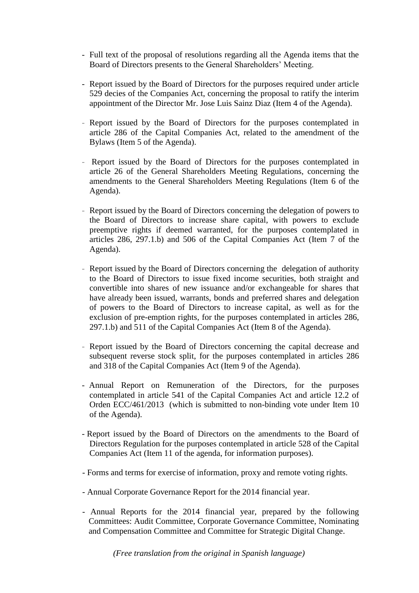- Full text of the proposal of resolutions regarding all the Agenda items that the Board of Directors presents to the General Shareholders' Meeting.
- Report issued by the Board of Directors for the purposes required under article 529 decies of the Companies Act, concerning the proposal to ratify the interim appointment of the Director Mr. Jose Luis Sainz Diaz (Item 4 of the Agenda).
- Report issued by the Board of Directors for the purposes contemplated in article 286 of the Capital Companies Act, related to the amendment of the Bylaws (Item 5 of the Agenda).
- Report issued by the Board of Directors for the purposes contemplated in article 26 of the General Shareholders Meeting Regulations, concerning the amendments to the General Shareholders Meeting Regulations (Item 6 of the Agenda).
- [Report issued by the Board of Directors c](http://www.prisa.com/uploads/ficheros/arboles/descargas/201403/descargas-report-issued-by-the-board-of-directors-item-6-of-the-agenda-en.pdf)oncerning the delegation of powers to the Board of Directors to increase share capital, with powers to exclude preemptive rights if deemed warranted, for the purposes contemplated in articles 286, 297.1.b) and 506 of the Capital Companies Act (Item 7 of the Agenda).
- [Report issued by the Board of Directors concerning the](http://www.prisa.com/uploads/ficheros/arboles/descargas/201403/descargas-report-issued-by-the-board-of-directors-item-7-of-the-agenda-en.pdf) delegation of authority to the Board of Directors to issue fixed income securities, both straight and convertible into shares of new issuance and/or exchangeable for shares that have already been issued, warrants, bonds and preferred shares and delegation of powers to the Board of Directors to increase capital, as well as for the exclusion of pre-emption rights, for the purposes contemplated in articles 286, 297.1.b) and 511 of the Capital Companies Act (Item 8 of the Agenda).
- [Report issued by the Board of Directors concerning the c](http://www.prisa.com/uploads/ficheros/arboles/descargas/201403/descargas-report-issued-by-the-board-of-directors-item-7-of-the-agenda-en.pdf)apital decrease and subsequent reverse stock split, for the purposes contemplated in articles 286 and 318 of the Capital Companies Act (Item 9 of the Agenda).
- Annual Report on [Remuneration of the Directors, f](http://www.prisa.com/uploads/ficheros/arboles/descargas/201403/descargas-remuneration-policy-report-en.pdf)or the purposes contemplated in article 541 of the Capital Companies Act and article 12.2 of Orden ECC/461/2013 (which is submitted to non-binding vote under Item 10 of the Agenda).
- Report issued by the Board of Directors on the amendments to the Board of Directors Regulation for the purposes contemplated in article 528 of the Capital Companies Act (Item 11 of the agenda, for information purposes).
- Forms and terms for exercise of information, proxy and remote voting rights.
- Annual Corporate Governance Report for the 2014 financial year.
- Annual Reports for the 2014 financial year, prepared by the following Committees: Audit Committee, Corporate Governance Committee, Nominating and Compensation Committee and Committee for Strategic Digital Change.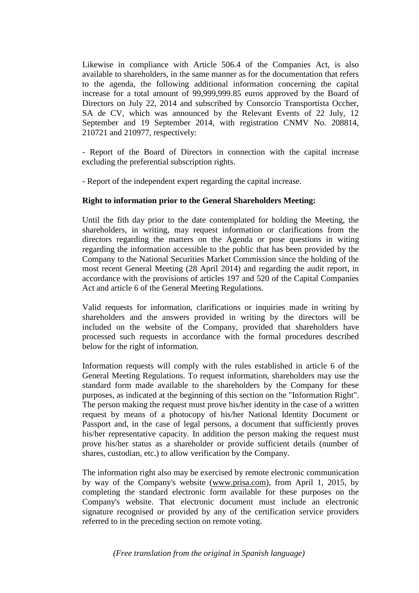Likewise in compliance with Article 506.4 of the Companies Act, is also available to shareholders, in the same manner as for the documentation that refers to the agenda, the following additional information concerning the capital increase for a total amount of 99,999,999.85 euros approved by the Board of Directors on July 22, 2014 and subscribed by Consorcio Transportista Occher, SA de CV, which was announced by the Relevant Events of 22 July, 12 September and 19 September 2014, with registration CNMV No. 208814, 210721 and 210977, respectively:

- Report of the Board of Directors in connection with the capital increase excluding the preferential subscription rights.

- Report of the independent expert regarding the capital increase.

#### **Right to information prior to the General Shareholders Meeting:**

Until the fith day prior to the date contemplated for holding the Meeting, the shareholders, in writing, may request information or clarifications from the directors regarding the matters on the Agenda or pose questions in witing regarding the information accessible to the public that has been provided by the Company to the National Securities Market Commission since the holding of the most recent General Meeting (28 April 2014) and regarding the audit report, in accordance with the provisions of articles 197 and 520 of the Capital Companies Act and article 6 of the General Meeting Regulations.

Valid requests for information, clarifications or inquiries made in writing by shareholders and the answers provided in writing by the directors will be included on the website of the Company, provided that shareholders have processed such requests in accordance with the formal procedures described below for the right of information.

Information requests will comply with the rules established in article 6 of the General Meeting Regulations. To request information, shareholders may use the standard form made available to the shareholders by the Company for these purposes, as indicated at the beginning of this section on the "Information Right". The person making the request must prove his/her identity in the case of a written request by means of a photocopy of his/her National Identity Document or Passport and, in the case of legal persons, a document that sufficiently proves his/her representative capacity. In addition the person making the request must prove his/her status as a shareholder or provide sufficient details (number of shares, custodian, etc.) to allow verification by the Company.

The information right also may be exercised by remote electronic communication by way of the Company's website [\(www.prisa.com\)](http://www.prisa.com/), from April 1, 2015, by completing the standard electronic form available for these purposes on the Company's website. That electronic document must include an electronic signature recognised or provided by any of the certification service providers referred to in the preceding section on remote voting.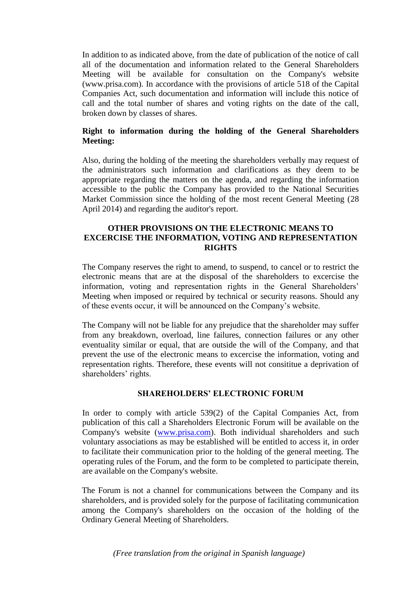In addition to as indicated above, from the date of publication of the notice of call all of the documentation and information related to the General Shareholders Meeting will be available for consultation on the Company's website [\(www.prisa.com\)](http://www.prisa.com/). In accordance with the provisions of article 518 of the Capital Companies Act, such documentation and information will include this notice of call and the total number of shares and voting rights on the date of the call, broken down by classes of shares.

# **Right to information during the holding of the General Shareholders Meeting:**

Also, during the holding of the meeting the shareholders verbally may request of the administrators such information and clarifications as they deem to be appropriate regarding the matters on the agenda, and regarding the information accessible to the public the Company has provided to the National Securities Market Commission since the holding of the most recent General Meeting (28 April 2014) and regarding the auditor's report.

## **OTHER PROVISIONS ON THE ELECTRONIC MEANS TO EXCERCISE THE INFORMATION, VOTING AND REPRESENTATION RIGHTS**

The Company reserves the right to amend, to suspend, to cancel or to restrict the electronic means that are at the disposal of the shareholders to excercise the information, voting and representation rights in the General Shareholders' Meeting when imposed or required by technical or security reasons. Should any of these events occur, it will be announced on the Company's website.

The Company will not be liable for any prejudice that the shareholder may suffer from any breakdown, overload, line failures, connection failures or any other eventuality similar or equal, that are outside the will of the Company, and that prevent the use of the electronic means to excercise the information, voting and representation rights. Therefore, these events will not consititue a deprivation of shareholders' rights.

### **SHAREHOLDERS' ELECTRONIC FORUM**

In order to comply with article 539(2) of the Capital Companies Act, from publication of this call a Shareholders Electronic Forum will be available on the Company's website [\(www.prisa.com\)](http://www.prisa.com/). Both individual shareholders and such voluntary associations as may be established will be entitled to access it, in order to facilitate their communication prior to the holding of the general meeting. The operating rules of the Forum, and the form to be completed to participate therein, are available on the Company's website.

The Forum is not a channel for communications between the Company and its shareholders, and is provided solely for the purpose of facilitating communication among the Company's shareholders on the occasion of the holding of the Ordinary General Meeting of Shareholders.